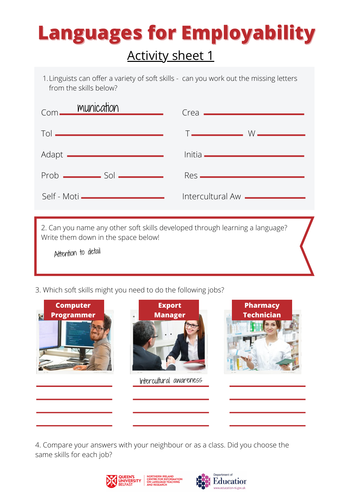## **Languages for Employability** Activity sheet 1

Linguists can offer a variety of soft skills - can you work out the missing letters 1. from the skills below?

| Com <u>munication</u>                           | $Crea$ $\qquad$                       |
|-------------------------------------------------|---------------------------------------|
| Tol ————————————————                            |                                       |
| Adapt <u>__________________________________</u> | <u> Initia ——————————————</u>         |
| $Prob$ $Sol$ $\longrightarrow$                  |                                       |
| Self - Moti <b>______________________</b>       | Intercultural Aw <b>_____________</b> |
|                                                 |                                       |

2. Can you name any other soft skills developed through learning a language? Write them down in the space below!

Attention to detail

3. Which soft skills might you need to do the following jobs?



4. Compare your answers with your neighbour or as a class. Did you choose the same skills for each job?